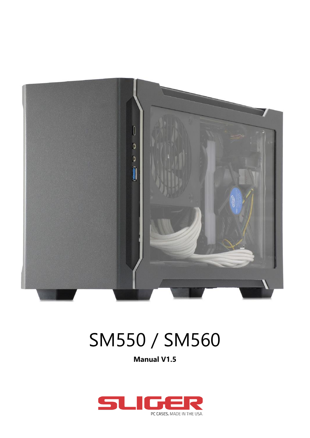

# SM550 / SM560

**Manual V1.5**

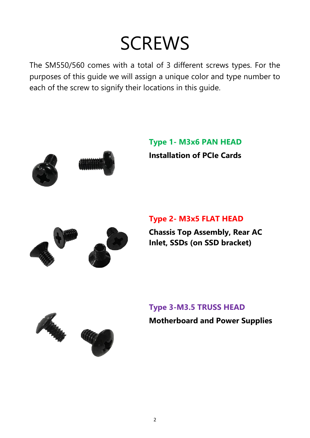## **SCREWS**

The SM550/560 comes with a total of 3 different screws types. For the purposes of this guide we will assign a unique color and type number to each of the screw to signify their locations in this guide.



**Type 1- M3x6 PAN HEAD Installation of PCIe Cards**



#### **Type 2- M3x5 FLAT HEAD**

**Chassis Top Assembly, Rear AC Inlet, SSDs (on SSD bracket)**



**Type 3-M3.5 TRUSS HEAD Motherboard and Power Supplies**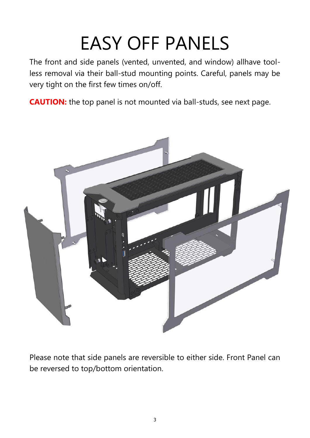# EASY OFF PANELS

The front and side panels (vented, unvented, and window) allhave toolless removal via their ball-stud mounting points. Careful, panels may be very tight on the first few times on/off.

**CAUTION:** the top panel is not mounted via ball-studs, see next page.



Please note that side panels are reversible to either side. Front Panel can be reversed to top/bottom orientation.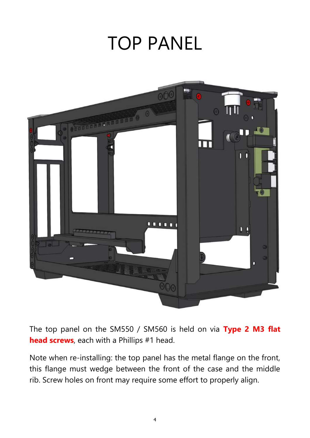### TOP PANEL



The top panel on the SM550 / SM560 is held on via **Type 2 M3 flat head screws**, each with a Phillips #1 head.

Note when re-installing: the top panel has the metal flange on the front, this flange must wedge between the front of the case and the middle rib. Screw holes on front may require some effort to properly align.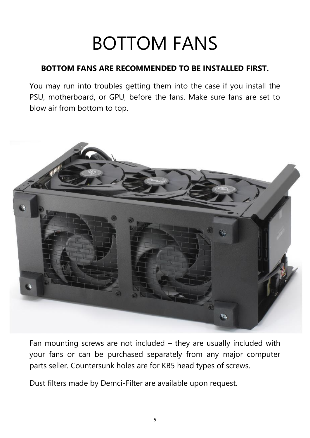## BOTTOM FANS

#### **BOTTOM FANS ARE RECOMMENDED TO BE INSTALLED FIRST.**

You may run into troubles getting them into the case if you install the PSU, motherboard, or GPU, before the fans. Make sure fans are set to blow air from bottom to top.



Fan mounting screws are not included – they are usually included with your fans or can be purchased separately from any major computer parts seller. Countersunk holes are for KB5 head types of screws.

Dust filters made by Demci-Filter are available upon request.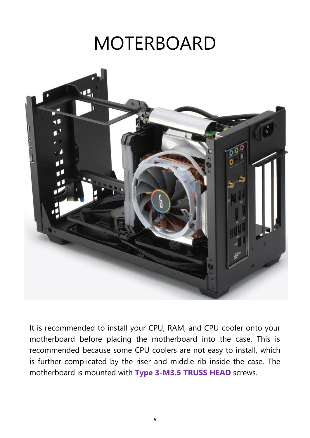## MOTERBOARD



It is recommended to install your CPU, RAM, and CPU cooler onto your motherboard before placing the motherboard into the case. This is recommended because some CPU coolers are not easy to install, which is further complicated by the riser and middle rib inside the case. The motherboard is mounted with **Type 3-M3.5 TRUSS HEAD** screws.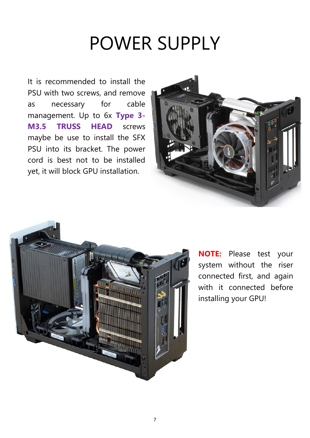### POWER SUPPLY

It is recommended to install the PSU with two screws, and remove as necessary for cable management. Up to 6x **Type 3- M3.5 TRUSS HEAD** screws maybe be use to install the SFX PSU into its bracket. The power cord is best not to be installed yet, it will block GPU installation.





**NOTE:** Please test your system without the riser connected first, and again with it connected before installing your GPU!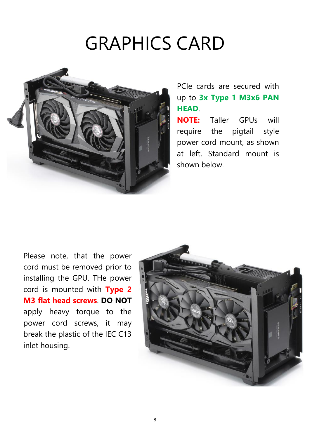## GRAPHICS CARD



#### PCIe cards are secured with up to **3x Type 1 M3x6 PAN HEAD**.

**NOTE:** Taller GPUs will require the pigtail style power cord mount, as shown at left. Standard mount is shown below.

Please note, that the power cord must be removed prior to installing the GPU. THe power cord is mounted with **Type 2 M3 flat head screws**. **DO NOT** apply heavy torque to the power cord screws, it may break the plastic of the IEC C13 inlet housing.

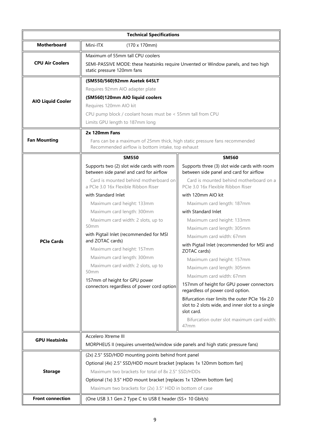| <b>Technical Specifications</b> |                                                                                                                                                                                                                                                                                                                                                                                                                                                                                                                                                                                             |                                                                                                                                                                                                                                                                                                                                                                                                                                                                                                                                                                                                                                                                                                                                                                                           |  |  |
|---------------------------------|---------------------------------------------------------------------------------------------------------------------------------------------------------------------------------------------------------------------------------------------------------------------------------------------------------------------------------------------------------------------------------------------------------------------------------------------------------------------------------------------------------------------------------------------------------------------------------------------|-------------------------------------------------------------------------------------------------------------------------------------------------------------------------------------------------------------------------------------------------------------------------------------------------------------------------------------------------------------------------------------------------------------------------------------------------------------------------------------------------------------------------------------------------------------------------------------------------------------------------------------------------------------------------------------------------------------------------------------------------------------------------------------------|--|--|
| <b>Motherboard</b>              | Mini-ITX<br>$(170 \times 170$ mm)                                                                                                                                                                                                                                                                                                                                                                                                                                                                                                                                                           |                                                                                                                                                                                                                                                                                                                                                                                                                                                                                                                                                                                                                                                                                                                                                                                           |  |  |
| <b>CPU Air Coolers</b>          | Maximum of 55mm tall CPU coolers<br>SEMI-PASSIVE MODE: these heatsinks require Unvented or Window panels, and two high<br>static pressure 120mm fans                                                                                                                                                                                                                                                                                                                                                                                                                                        |                                                                                                                                                                                                                                                                                                                                                                                                                                                                                                                                                                                                                                                                                                                                                                                           |  |  |
| <b>AIO Liquid Cooler</b>        | (SM550/560)92mm Asetek 645LT<br>Requires 92mm AIO adapter plate<br>(SM560)120mm AIO liquid coolers<br>Requires 120mm AIO kit<br>CPU pump block / coolant hoses must be < 55mm tall from CPU<br>Limits GPU length to 187mm long                                                                                                                                                                                                                                                                                                                                                              |                                                                                                                                                                                                                                                                                                                                                                                                                                                                                                                                                                                                                                                                                                                                                                                           |  |  |
| <b>Fan Mounting</b>             | 2x 120mm Fans<br>Fans can be a maximum of 25mm thick, high static pressure fans recommended<br>Recommended airflow is bottom intake, top exhaust                                                                                                                                                                                                                                                                                                                                                                                                                                            |                                                                                                                                                                                                                                                                                                                                                                                                                                                                                                                                                                                                                                                                                                                                                                                           |  |  |
| <b>PCIe Cards</b>               | <b>SM550</b><br>Supports two (2) slot wide cards with room<br>between side panel and card for airflow<br>Card is mounted behind motherboard on<br>a PCIe 3.0 16x Flexible Ribbon Riser<br>with Standard Inlet<br>Maximum card height: 133mm<br>Maximum card length: 300mm<br>Maximum card width: 2 slots, up to<br>50mm<br>with Pigtail Inlet (recommended for MSI<br>and ZOTAC cards)<br>Maximum card height: 157mm<br>Maximum card length: 300mm<br>Maximum card width: 2 slots, up to<br>50 <sub>mm</sub><br>157mm of height for GPU power<br>connectors regardless of power cord option | <b>SM560</b><br>Supports three (3) slot wide cards with room<br>between side panel and card for airflow<br>Card is mounted behind motherboard on a<br>PCIe 3.0 16x Flexible Ribbon Riser<br>with 120mm AIO kit<br>Maximum card length: 187mm<br>with Standard Inlet<br>Maximum card height: 133mm<br>Maximum card length: 305mm<br>Maximum card width: 67mm<br>with Pigtail Inlet (recommended for MSI and<br>ZOTAC cards)<br>Maximum card height: 157mm<br>Maximum card length: 305mm<br>Maximum card width: 67mm<br>157mm of height for GPU power connectors<br>regardless of power cord option.<br>Bifurcation riser limits the outer PCIe 16x 2.0<br>slot to 2 slots wide, and inner slot to a single<br>slot card.<br>Bifurcation outer slot maximum card width:<br>47 <sub>mm</sub> |  |  |
| <b>GPU Heatsinks</b>            | Accelero Xtreme III<br>MORPHEUS II (requires unvented/window side panels and high static pressure fans)                                                                                                                                                                                                                                                                                                                                                                                                                                                                                     |                                                                                                                                                                                                                                                                                                                                                                                                                                                                                                                                                                                                                                                                                                                                                                                           |  |  |
| <b>Storage</b>                  | (2x) 2.5" SSD/HDD mounting points behind front panel<br>Optional (4x) 2.5" SSD/HDD mount bracket [replaces 1x 120mm bottom fan]<br>Maximum two brackets for total of 8x 2.5" SSD/HDDs<br>Optional (1x) 3.5" HDD mount bracket [replaces 1x 120mm bottom fan]<br>Maximum two brackets for (2x) 3.5" HDD in bottom of case                                                                                                                                                                                                                                                                    |                                                                                                                                                                                                                                                                                                                                                                                                                                                                                                                                                                                                                                                                                                                                                                                           |  |  |
| <b>Front connection</b>         | (One USB 3.1 Gen 2 Type C to USB E header (SS+ 10 Gbit/s)                                                                                                                                                                                                                                                                                                                                                                                                                                                                                                                                   |                                                                                                                                                                                                                                                                                                                                                                                                                                                                                                                                                                                                                                                                                                                                                                                           |  |  |